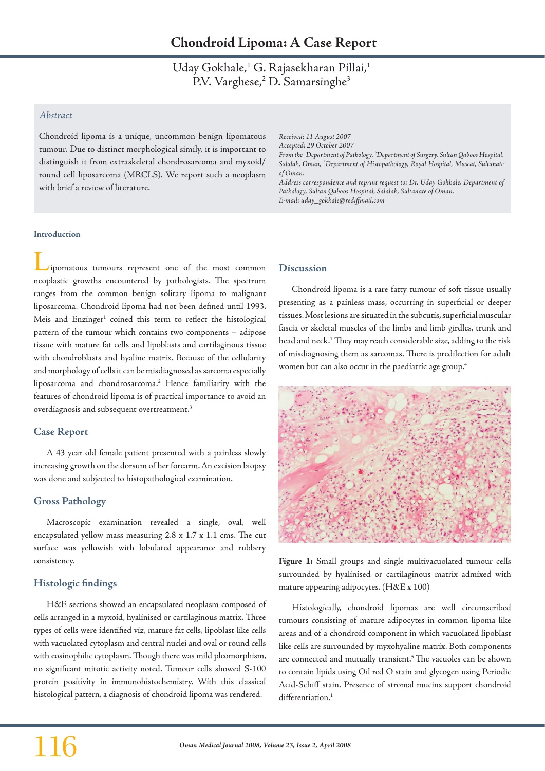Uday Gokhale,<sup>1</sup> G. Rajasekharan Pillai,<sup>1</sup> P.V. Varghese,<sup>2</sup> D. Samarsinghe<sup>3</sup>

# *Abstract*

Chondroid lipoma is a unique, uncommon benign lipomatous tumour. Due to distinct morphological simily, it is important to distinguish it from extraskeletal chondrosarcoma and myxoid/ round cell liposarcoma (MRCLS). We report such a neoplasm with brief a review of literature.

*Received: 11 August 2007 Accepted: 29 October 2007 From the 1 Department of Pathology, 2 Department of Surgery, Sultan Qaboos Hospital, Salalah, Oman, 3 Department of Histopathology, Royal Hospital, Muscat, Sultanate of Oman. Address correspondence and reprint request to: Dr. Uday Gokhale, Department of Pathology, Sultan Qaboos Hospital, Salalah, Sultanate of Oman. E-mail: uday\_gokhale@rediffmail.com*

### **Introduction**

Lipomatous tumours represent one of the most common neoplastic growths encountered by pathologists. The spectrum ranges from the common benign solitary lipoma to malignant liposarcoma. Chondroid lipoma had not been defined until 1993. Meis and Enzinger<sup>1</sup> coined this term to reflect the histological pattern of the tumour which contains two components – adipose tissue with mature fat cells and lipoblasts and cartilaginous tissue with chondroblasts and hyaline matrix. Because of the cellularity and morphology of cells it can be misdiagnosed as sarcoma especially liposarcoma and chondrosarcoma.2 Hence familiarity with the features of chondroid lipoma is of practical importance to avoid an overdiagnosis and subsequent overtreatment.<sup>3</sup>

# **Case Report**

A 43 year old female patient presented with a painless slowly increasing growth on the dorsum of her forearm. An excision biopsy was done and subjected to histopathological examination.

# **Gross Pathology**

Macroscopic examination revealed a single, oval, well encapsulated yellow mass measuring 2.8 x 1.7 x 1.1 cms. The cut surface was yellowish with lobulated appearance and rubbery consistency.

# **Histologic findings**

H&E sections showed an encapsulated neoplasm composed of cells arranged in a myxoid, hyalinised or cartilaginous matrix. Three types of cells were identified viz, mature fat cells, lipoblast like cells with vacuolated cytoplasm and central nuclei and oval or round cells with eosinophilic cytoplasm. Though there was mild pleomorphism, no significant mitotic activity noted. Tumour cells showed S-100 protein positivity in immunohistochemistry. With this classical histological pattern, a diagnosis of chondroid lipoma was rendered.

## **Discussion**

Chondroid lipoma is a rare fatty tumour of soft tissue usually presenting as a painless mass, occurring in superficial or deeper tissues. Most lesions are situated in the subcutis, superficial muscular fascia or skeletal muscles of the limbs and limb girdles, trunk and head and neck.<sup>1</sup> They may reach considerable size, adding to the risk of misdiagnosing them as sarcomas. There is predilection for adult women but can also occur in the paediatric age group.4



**Figure 1:** Small groups and single multivacuolated tumour cells surrounded by hyalinised or cartilaginous matrix admixed with mature appearing adipocytes. (H&E x 100)

Histologically, chondroid lipomas are well circumscribed tumours consisting of mature adipocytes in common lipoma like areas and of a chondroid component in which vacuolated lipoblast like cells are surrounded by myxohyaline matrix. Both components are connected and mutually transient.<sup>5</sup> The vacuoles can be shown to contain lipids using Oil red O stain and glycogen using Periodic Acid-Schiff stain. Presence of stromal mucins support chondroid differentiation.<sup>1</sup>